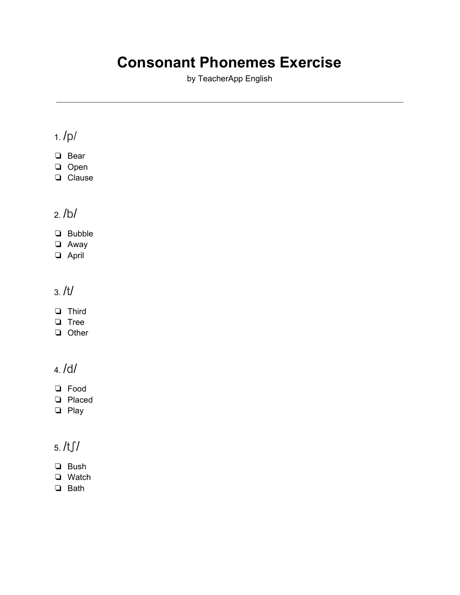# **Consonant Phonemes Exercise**

by TeacherApp English

## 1. /p/

- ❏ Bear
- ❏ Open
- ❏ Clause

### 2. /b/

- ❏ Bubble
- ❏ Away
- ❏ April

#### 3. /t/

- ❏ Third
- ❏ Tree
- ❏ Other

#### 4. /d/

- ❏ Food
- ❏ Placed
- ❏ Play

## 5. /tʃ/

- ❏ Bush
- ❏ Watch
- ❏ Bath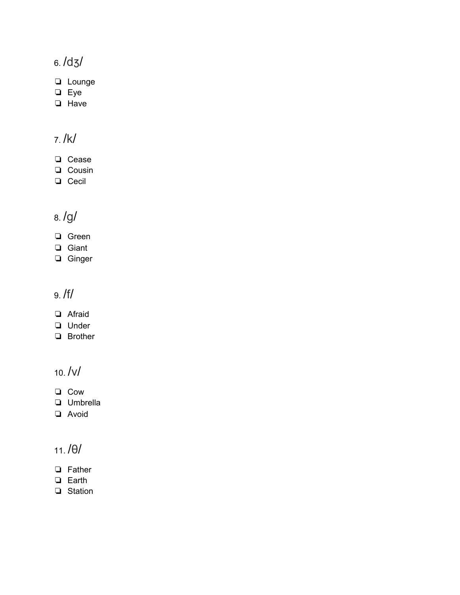# 6. /dʒ/

- ❏ Lounge
- ❏ Eye
- ❏ Have

# 7. /k/

- ❏ Cease
- ❏ Cousin
- ❏ Cecil

# 8. /g/

- ❏ Green
- ❏ Giant
- ❏ Ginger

#### 9. /f/

- ❏ Afraid
- ❏ Under
- ❏ Brother

#### 10. /v/

- ❏ Cow
- ❏ Umbrella
- ❏ Avoid

### 11. /θ/

- ❏ Father
- ❏ Earth
- ❏ Station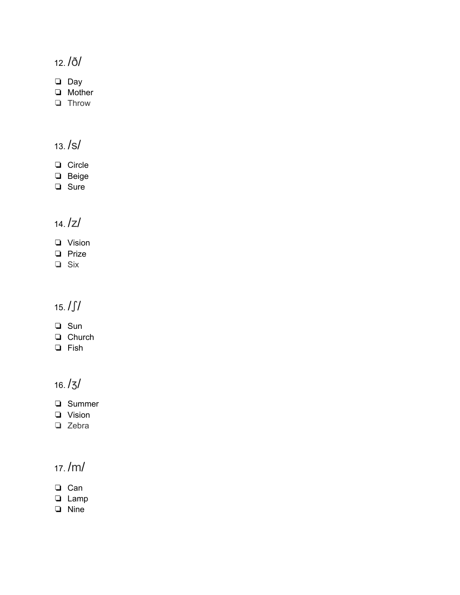12. /ð/

❏ Day

❏ Mother

❏ Throw

13. /s/

- ❏ Circle
- ❏ Beige
- ❏ Sure

### 14. /z/

- ❏ Vision
- ❏ Prize
- ❏ Six

# 15. /ʃ/

- ❏ Sun
- ❏ Church
- ❏ Fish

16. /ʒ/

- ❏ Summer
- ❏ Vision
- ❏ Zebra

### 17. /m/

- ❏ Can
- ❏ Lamp
- ❏ Nine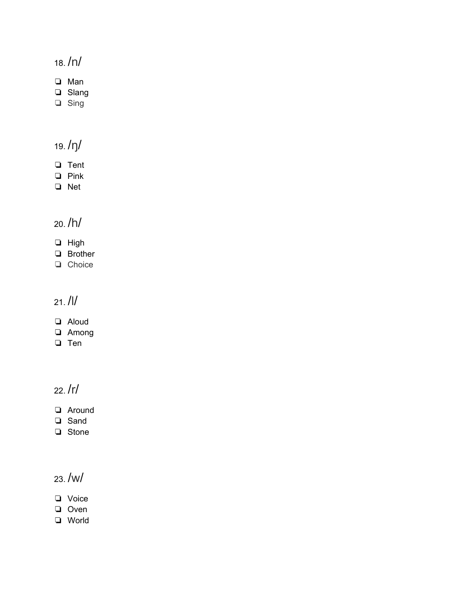#### 18. /n/

❏ Man

- ❏ Slang
- ❏ Sing

19. /ŋ/

- ❏ Tent
- ❏ Pink
- ❏ Net

### 20. /h/

- ❏ High
- ❏ Brother
- ❏ Choice

### 21. /l/

- ❏ Aloud
- ❏ Among
- ❏ Ten

#### 22. /r/

- ❏ Around
- ❏ Sand
- ❏ Stone

### 23. /w/

- ❏ Voice
- ❏ Oven
- ❏ World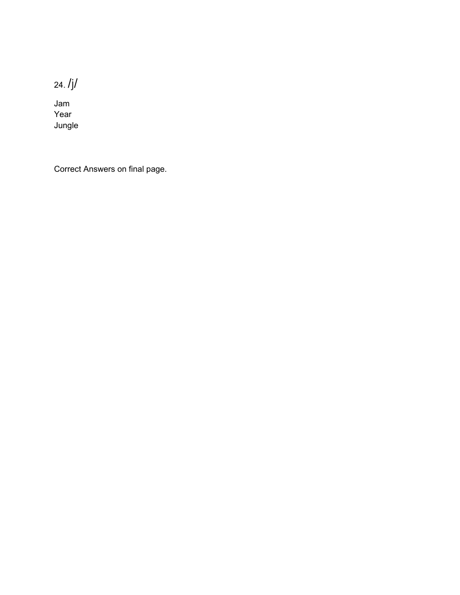24. /j/

Jam Year Jungle

Correct Answers on final page.